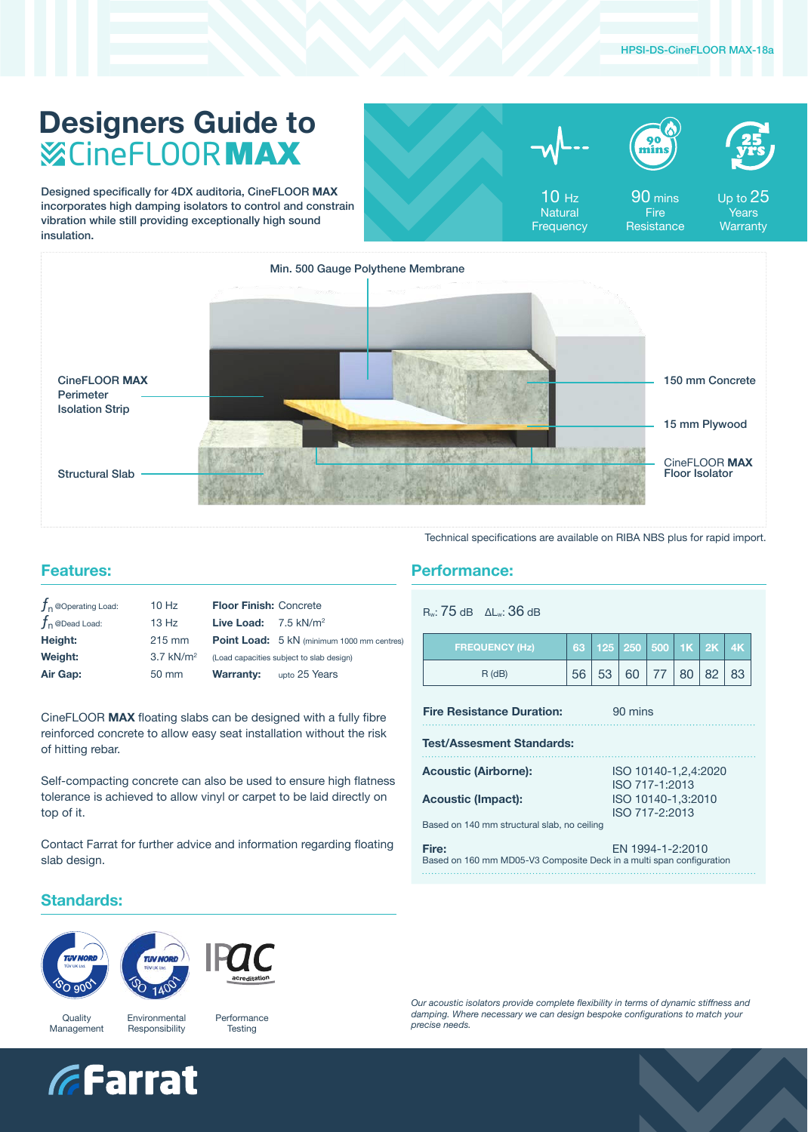## **Designers Guide to** CineFLOORMAX

Designed specifically for 4DX auditoria, CineFLOOR **MAX**  incorporates high damping isolators to control and constrain vibration while still providing exceptionally high sound insulation.

| TH |
|----|
|----|



90 mins **Fire Resistance** 



10 Hz **Natural Frequency** 

Up to 25 Years **Warranty** 



Technical specifications are available on RIBA NBS plus for rapid import.

### **Features:**

| $10$ Hz                 |                                          |                                                                  |  |
|-------------------------|------------------------------------------|------------------------------------------------------------------|--|
| 13 Hz                   |                                          |                                                                  |  |
| $215 \text{ mm}$        |                                          | Point Load: 5 kN (minimum 1000 mm centres)                       |  |
| $3.7$ kN/m <sup>2</sup> | (Load capacities subject to slab design) |                                                                  |  |
| 50 mm                   | <b>Warranty:</b>                         | upto 25 Years                                                    |  |
|                         |                                          | <b>Floor Finish: Concrete</b><br>Live Load: $7.5 \text{ kN/m}^2$ |  |

CineFLOOR **MAX** floating slabs can be designed with a fully fibre reinforced concrete to allow easy seat installation without the risk of hitting rebar.

Self-compacting concrete can also be used to ensure high flatness tolerance is achieved to allow vinyl or carpet to be laid directly on top of it.

Contact Farrat for further advice and information regarding floating slab design.

#### **Performance:**

| $R_w$ : 75 dB $\Delta L_w$ : 36 dB |  |
|------------------------------------|--|
|------------------------------------|--|

| <b>FREQUENCY (Hz)</b> |    | 63 125 250 500 1K 2K 4K |        |    |                 |     |
|-----------------------|----|-------------------------|--------|----|-----------------|-----|
| $R$ (dB)              | 53 | 60                      | $-177$ | 80 | 82 <sup>1</sup> | -83 |

**Fire Resistance Duration:** 90 mins

**Test/Assesment Standards:**

| <b>Acoustic (Airborne):</b>                                          | ISO 10140-1, 2, 4: 2020 |
|----------------------------------------------------------------------|-------------------------|
|                                                                      | ISO 717-1:2013          |
| <b>Acoustic (Impact):</b>                                            | ISO 10140-1.3:2010      |
|                                                                      | ISO 717-2:2013          |
| Based on 140 mm structural slab, no ceiling                          |                         |
|                                                                      |                         |
| Fire:                                                                | EN 1994-1-2:2010        |
| Based on 160 mm MD05-V3 Composite Deck in a multi span configuration |                         |

### **Standards:**







**Quality** Management Environmental Responsibility Performance **Testing** 



*Our acoustic isolators provide complete flexibility in terms of dynamic stiffness and damping. Where necessary we can design bespoke configurations to match your precise needs.*